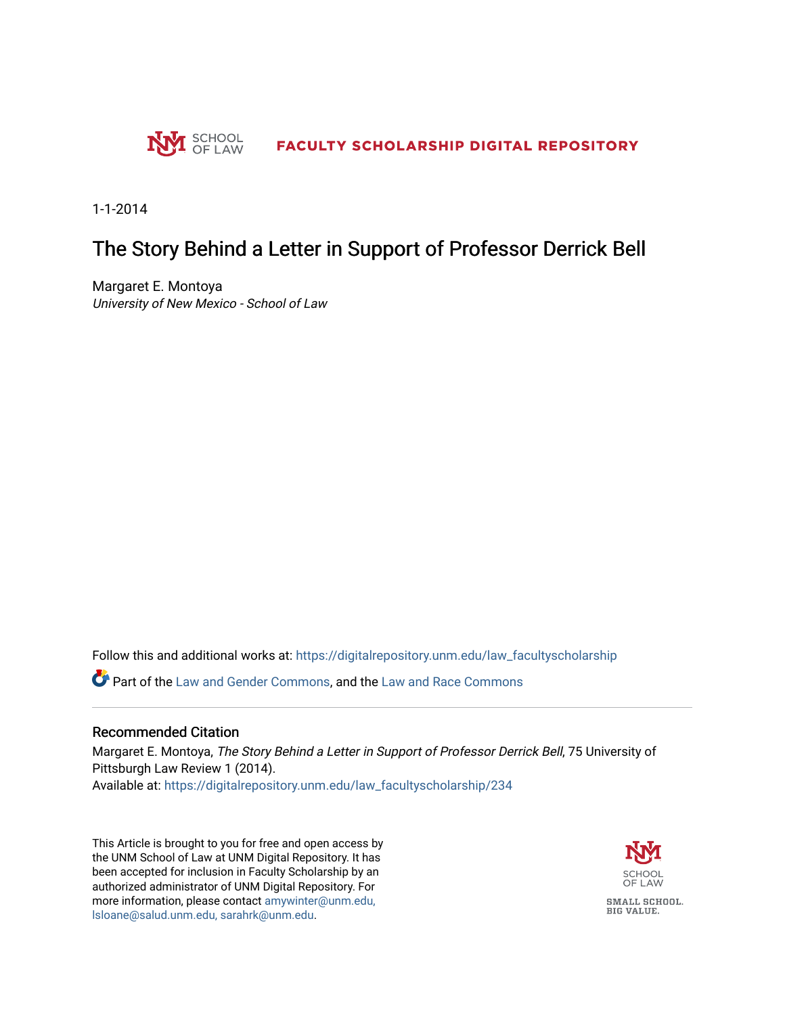

1-1-2014

## The Story Behind a Letter in Support of Professor Derrick Bell

Margaret E. Montoya University of New Mexico - School of Law

Follow this and additional works at: [https://digitalrepository.unm.edu/law\\_facultyscholarship](https://digitalrepository.unm.edu/law_facultyscholarship?utm_source=digitalrepository.unm.edu%2Flaw_facultyscholarship%2F234&utm_medium=PDF&utm_campaign=PDFCoverPages) 

**P** Part of the [Law and Gender Commons,](http://network.bepress.com/hgg/discipline/1298?utm_source=digitalrepository.unm.edu%2Flaw_facultyscholarship%2F234&utm_medium=PDF&utm_campaign=PDFCoverPages) and the [Law and Race Commons](http://network.bepress.com/hgg/discipline/1300?utm_source=digitalrepository.unm.edu%2Flaw_facultyscholarship%2F234&utm_medium=PDF&utm_campaign=PDFCoverPages)

### Recommended Citation

Margaret E. Montoya, The Story Behind a Letter in Support of Professor Derrick Bell, 75 University of Pittsburgh Law Review 1 (2014).

Available at: [https://digitalrepository.unm.edu/law\\_facultyscholarship/234](https://digitalrepository.unm.edu/law_facultyscholarship/234?utm_source=digitalrepository.unm.edu%2Flaw_facultyscholarship%2F234&utm_medium=PDF&utm_campaign=PDFCoverPages) 

This Article is brought to you for free and open access by the UNM School of Law at UNM Digital Repository. It has been accepted for inclusion in Faculty Scholarship by an authorized administrator of UNM Digital Repository. For more information, please contact [amywinter@unm.edu,](mailto:amywinter@unm.edu,%20lsloane@salud.unm.edu,%20sarahrk@unm.edu)  [lsloane@salud.unm.edu, sarahrk@unm.edu.](mailto:amywinter@unm.edu,%20lsloane@salud.unm.edu,%20sarahrk@unm.edu)

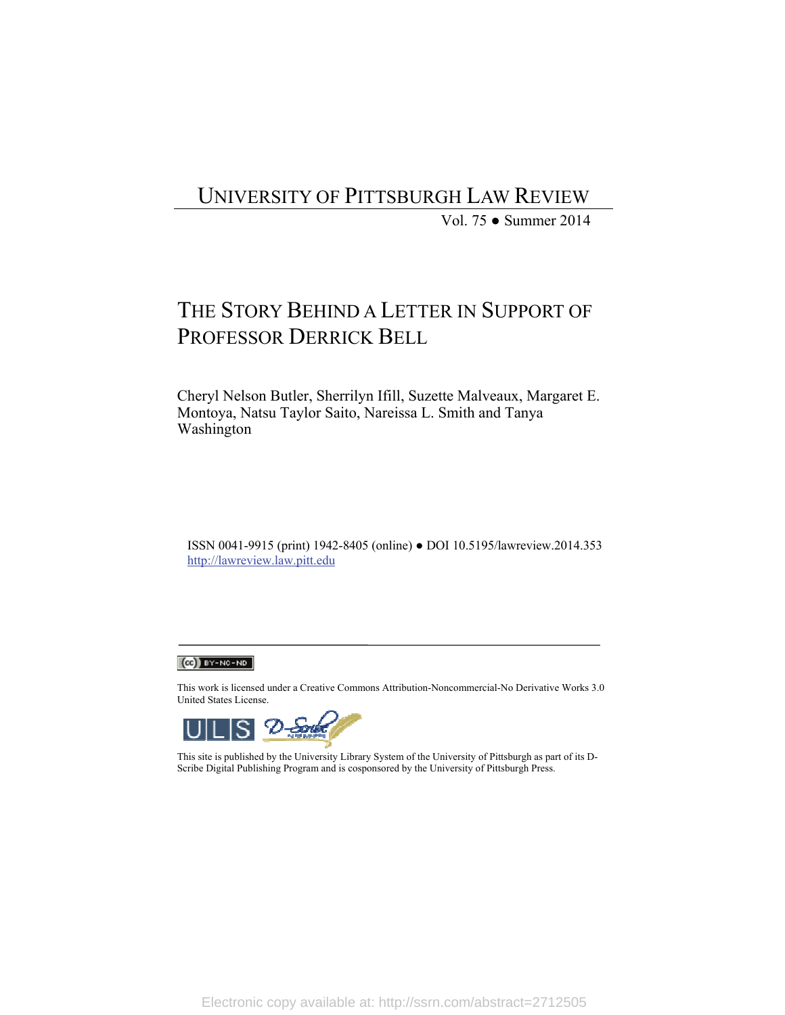## UNIVERSITY OF PITTSBURGH LAW REVIEW

Vol. 75 ● Summer 2014

# THE STORY BEHIND A LETTER IN SUPPORT OF PROFESSOR DERRICK BELL

Cheryl Nelson Butler, Sherrilyn Ifill, Suzette Malveaux, Margaret E. Montoya, Natsu Taylor Saito, Nareissa L. Smith and Tanya Washington

ISSN 0041-9915 (print) 1942-8405 (online) ● DOI 10.5195/lawreview.2014.353 http://lawreview.law.pitt.edu

### $(C<sub>c</sub>)$  BY-NC-ND

This work is licensed under a Creative Commons Attribution-Noncommercial-No Derivative Works 3.0 United States License.



This site is published by the University Library System of the University of Pittsburgh as part of its D-Scribe Digital Publishing Program and is cosponsored by the University of Pittsburgh Press.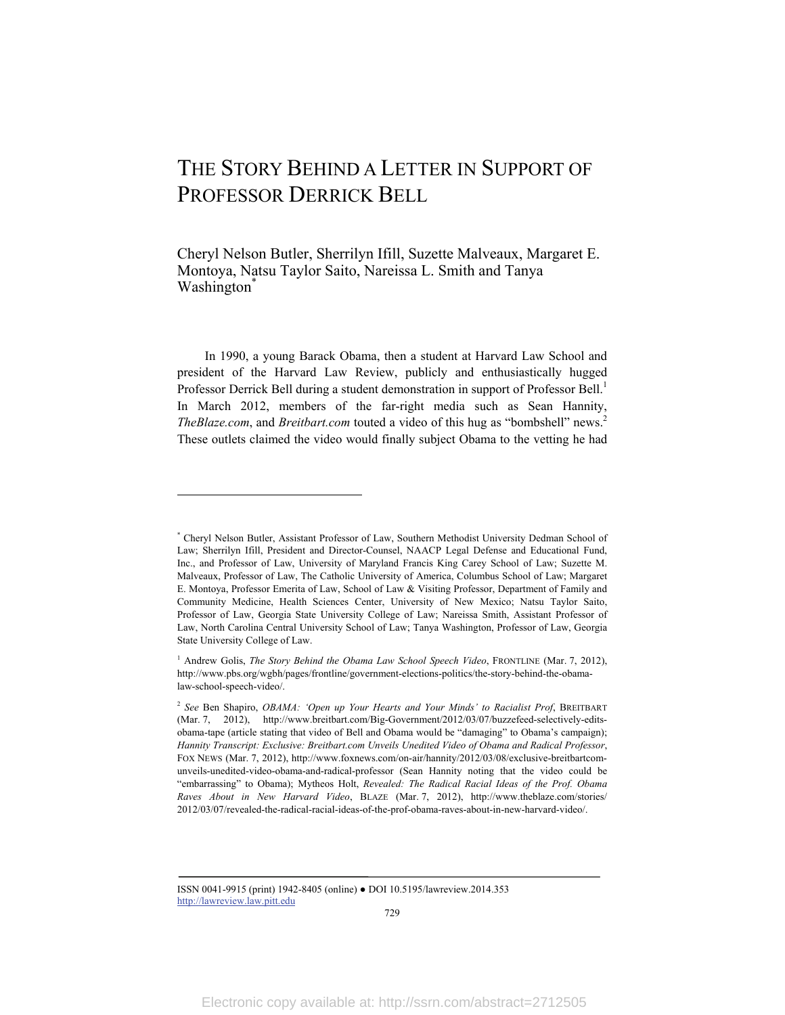# THE STORY BEHIND A LETTER IN SUPPORT OF PROFESSOR DERRICK BELL

Cheryl Nelson Butler, Sherrilyn Ifill, Suzette Malveaux, Margaret E. Montoya, Natsu Taylor Saito, Nareissa L. Smith and Tanya Washington<sup>\*</sup>

In 1990, a young Barack Obama, then a student at Harvard Law School and president of the Harvard Law Review, publicly and enthusiastically hugged Professor Derrick Bell during a student demonstration in support of Professor Bell.<sup>1</sup> In March 2012, members of the far-right media such as Sean Hannity, *TheBlaze.com*, and *Breitbart.com* touted a video of this hug as "bombshell" news.2 These outlets claimed the video would finally subject Obama to the vetting he had

l

ISSN 0041-9915 (print) 1942-8405 (online) ● DOI 10.5195/lawreview.2014.353 http://lawreview.law.pitt.edu

<sup>\*</sup> Cheryl Nelson Butler, Assistant Professor of Law, Southern Methodist University Dedman School of Law; Sherrilyn Ifill, President and Director-Counsel, NAACP Legal Defense and Educational Fund, Inc., and Professor of Law, University of Maryland Francis King Carey School of Law; Suzette M. Malveaux, Professor of Law, The Catholic University of America, Columbus School of Law; Margaret E. Montoya, Professor Emerita of Law, School of Law & Visiting Professor, Department of Family and Community Medicine, Health Sciences Center, University of New Mexico; Natsu Taylor Saito, Professor of Law, Georgia State University College of Law; Nareissa Smith, Assistant Professor of Law, North Carolina Central University School of Law; Tanya Washington, Professor of Law, Georgia State University College of Law.

<sup>&</sup>lt;sup>1</sup> Andrew Golis, *The Story Behind the Obama Law School Speech Video*, FRONTLINE (Mar. 7, 2012), http://www.pbs.org/wgbh/pages/frontline/government-elections-politics/the-story-behind-the-obamalaw-school-speech-video/.

<sup>2</sup> *See* Ben Shapiro, *OBAMA: 'Open up Your Hearts and Your Minds' to Racialist Prof*, BREITBART (Mar. 7, 2012), http://www.breitbart.com/Big-Government/2012/03/07/buzzefeed-selectively-editsobama-tape (article stating that video of Bell and Obama would be "damaging" to Obama's campaign); *Hannity Transcript: Exclusive: Breitbart.com Unveils Unedited Video of Obama and Radical Professor*, FOX NEWS (Mar. 7, 2012), http://www.foxnews.com/on-air/hannity/2012/03/08/exclusive-breitbartcomunveils-unedited-video-obama-and-radical-professor (Sean Hannity noting that the video could be "embarrassing" to Obama); Mytheos Holt, *Revealed: The Radical Racial Ideas of the Prof. Obama Raves About in New Harvard Video*, BLAZE (Mar. 7, 2012), http://www.theblaze.com/stories/ 2012/03/07/revealed-the-radical-racial-ideas-of-the-prof-obama-raves-about-in-new-harvard-video/.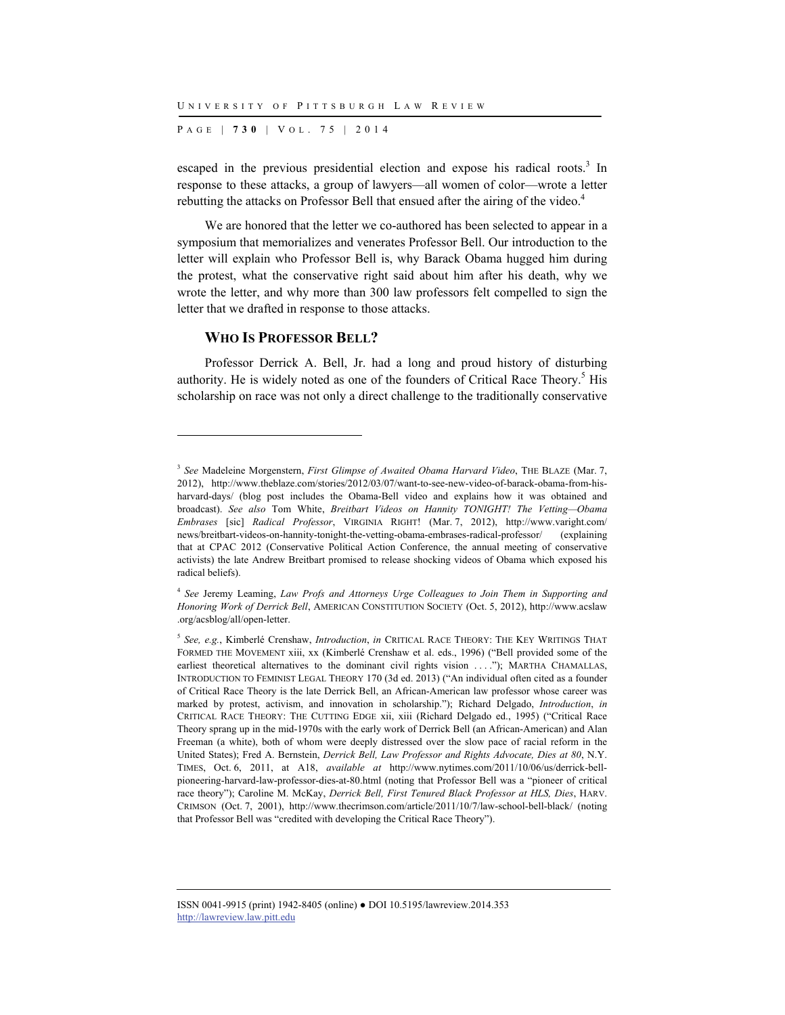P AGE | **730** | V O L . 7 5 | 2014

escaped in the previous presidential election and expose his radical roots. $3$  In response to these attacks, a group of lawyers—all women of color—wrote a letter rebutting the attacks on Professor Bell that ensued after the airing of the video.<sup>4</sup>

We are honored that the letter we co-authored has been selected to appear in a symposium that memorializes and venerates Professor Bell. Our introduction to the letter will explain who Professor Bell is, why Barack Obama hugged him during the protest, what the conservative right said about him after his death, why we wrote the letter, and why more than 300 law professors felt compelled to sign the letter that we drafted in response to those attacks.

#### **WHO IS PROFESSOR BELL?**

l

Professor Derrick A. Bell, Jr. had a long and proud history of disturbing authority. He is widely noted as one of the founders of Critical Race Theory.<sup>5</sup> His scholarship on race was not only a direct challenge to the traditionally conservative

<sup>3</sup> *See* Madeleine Morgenstern, *First Glimpse of Awaited Obama Harvard Video*, THE BLAZE (Mar. 7, 2012), http://www.theblaze.com/stories/2012/03/07/want-to-see-new-video-of-barack-obama-from-hisharvard-days/ (blog post includes the Obama-Bell video and explains how it was obtained and broadcast). *See also* Tom White, *Breitbart Videos on Hannity TONIGHT! The Vetting—Obama Embrases* [sic] *Radical Professor*, VIRGINIA RIGHT! (Mar. 7, 2012), http://www.varight.com/ news/breitbart-videos-on-hannity-tonight-the-vetting-obama-embrases-radical-professor/ (explaining that at CPAC 2012 (Conservative Political Action Conference, the annual meeting of conservative activists) the late Andrew Breitbart promised to release shocking videos of Obama which exposed his radical beliefs).

<sup>4</sup> *See* Jeremy Leaming, *Law Profs and Attorneys Urge Colleagues to Join Them in Supporting and Honoring Work of Derrick Bell*, AMERICAN CONSTITUTION SOCIETY (Oct. 5, 2012), http://www.acslaw .org/acsblog/all/open-letter.

<sup>5</sup> *See, e.g.*, Kimberlé Crenshaw, *Introduction*, *in* CRITICAL RACE THEORY: THE KEY WRITINGS THAT FORMED THE MOVEMENT xiii, xx (Kimberlé Crenshaw et al. eds., 1996) ("Bell provided some of the earliest theoretical alternatives to the dominant civil rights vision ...."); MARTHA CHAMALLAS, INTRODUCTION TO FEMINIST LEGAL THEORY 170 (3d ed. 2013) ("An individual often cited as a founder of Critical Race Theory is the late Derrick Bell, an African-American law professor whose career was marked by protest, activism, and innovation in scholarship."); Richard Delgado, *Introduction*, *in* CRITICAL RACE THEORY: THE CUTTING EDGE xii, xiii (Richard Delgado ed., 1995) ("Critical Race Theory sprang up in the mid-1970s with the early work of Derrick Bell (an African-American) and Alan Freeman (a white), both of whom were deeply distressed over the slow pace of racial reform in the United States); Fred A. Bernstein, *Derrick Bell, Law Professor and Rights Advocate, Dies at 80*, N.Y. TIMES, Oct. 6, 2011, at A18, *available at* http://www.nytimes.com/2011/10/06/us/derrick-bellpioneering-harvard-law-professor-dies-at-80.html (noting that Professor Bell was a "pioneer of critical race theory"); Caroline M. McKay, *Derrick Bell, First Tenured Black Professor at HLS, Dies*, HARV. CRIMSON (Oct. 7, 2001), http://www.thecrimson.com/article/2011/10/7/law-school-bell-black/ (noting that Professor Bell was "credited with developing the Critical Race Theory").

ISSN 0041-9915 (print) 1942-8405 (online) ● DOI 10.5195/lawreview.2014.353 http://lawreview.law.pitt.edu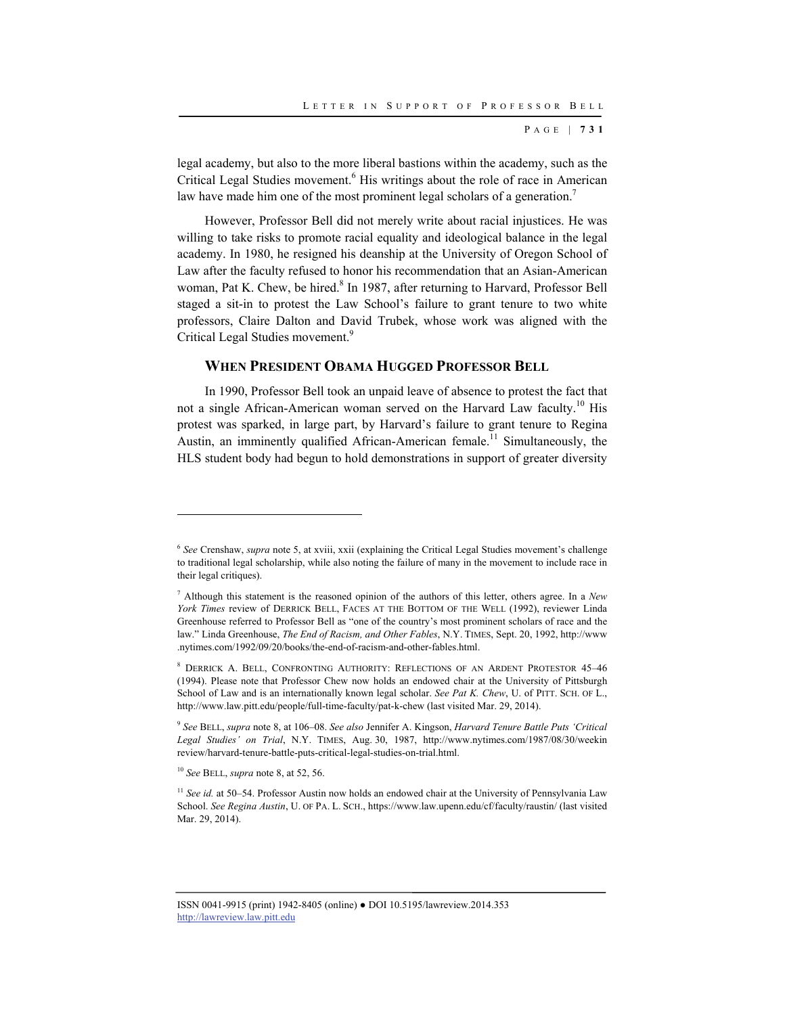legal academy, but also to the more liberal bastions within the academy, such as the Critical Legal Studies movement.<sup>6</sup> His writings about the role of race in American law have made him one of the most prominent legal scholars of a generation.<sup>7</sup>

However, Professor Bell did not merely write about racial injustices. He was willing to take risks to promote racial equality and ideological balance in the legal academy. In 1980, he resigned his deanship at the University of Oregon School of Law after the faculty refused to honor his recommendation that an Asian-American woman, Pat K. Chew, be hired.<sup>8</sup> In 1987, after returning to Harvard, Professor Bell staged a sit-in to protest the Law School's failure to grant tenure to two white professors, Claire Dalton and David Trubek, whose work was aligned with the Critical Legal Studies movement.<sup>9</sup>

#### **WHEN PRESIDENT OBAMA HUGGED PROFESSOR BELL**

In 1990, Professor Bell took an unpaid leave of absence to protest the fact that not a single African-American woman served on the Harvard Law faculty.<sup>10</sup> His protest was sparked, in large part, by Harvard's failure to grant tenure to Regina Austin, an imminently qualified African-American female.<sup>11</sup> Simultaneously, the HLS student body had begun to hold demonstrations in support of greater diversity

<sup>10</sup> *See* BELL, *supra* note 8, at 52, 56.

<sup>&</sup>lt;sup>6</sup> See Crenshaw, *supra* note 5, at xviii, xxii (explaining the Critical Legal Studies movement's challenge to traditional legal scholarship, while also noting the failure of many in the movement to include race in their legal critiques).

<sup>7</sup> Although this statement is the reasoned opinion of the authors of this letter, others agree. In a *New York Times* review of DERRICK BELL, FACES AT THE BOTTOM OF THE WELL (1992), reviewer Linda Greenhouse referred to Professor Bell as "one of the country's most prominent scholars of race and the law." Linda Greenhouse, *The End of Racism, and Other Fables*, N.Y. TIMES, Sept. 20, 1992, http://www .nytimes.com/1992/09/20/books/the-end-of-racism-and-other-fables.html.

<sup>8</sup> DERRICK A. BELL, CONFRONTING AUTHORITY: REFLECTIONS OF AN ARDENT PROTESTOR 45–46 (1994). Please note that Professor Chew now holds an endowed chair at the University of Pittsburgh School of Law and is an internationally known legal scholar. *See Pat K. Chew*, U. of PITT. SCH. OF L., http://www.law.pitt.edu/people/full-time-faculty/pat-k-chew (last visited Mar. 29, 2014).

<sup>9</sup> *See* BELL, *supra* note 8, at 106–08. *See also* Jennifer A. Kingson, *Harvard Tenure Battle Puts 'Critical Legal Studies' on Trial*, N.Y. TIMES, Aug. 30, 1987, http://www.nytimes.com/1987/08/30/weekin review/harvard-tenure-battle-puts-critical-legal-studies-on-trial.html.

<sup>&</sup>lt;sup>11</sup> See id. at 50–54. Professor Austin now holds an endowed chair at the University of Pennsylvania Law School. *See Regina Austin*, U. OF PA. L. SCH., https://www.law.upenn.edu/cf/faculty/raustin/ (last visited Mar. 29, 2014).

ISSN 0041-9915 (print) 1942-8405 (online) ● DOI 10.5195/lawreview.2014.353 http://lawreview.law.pitt.edu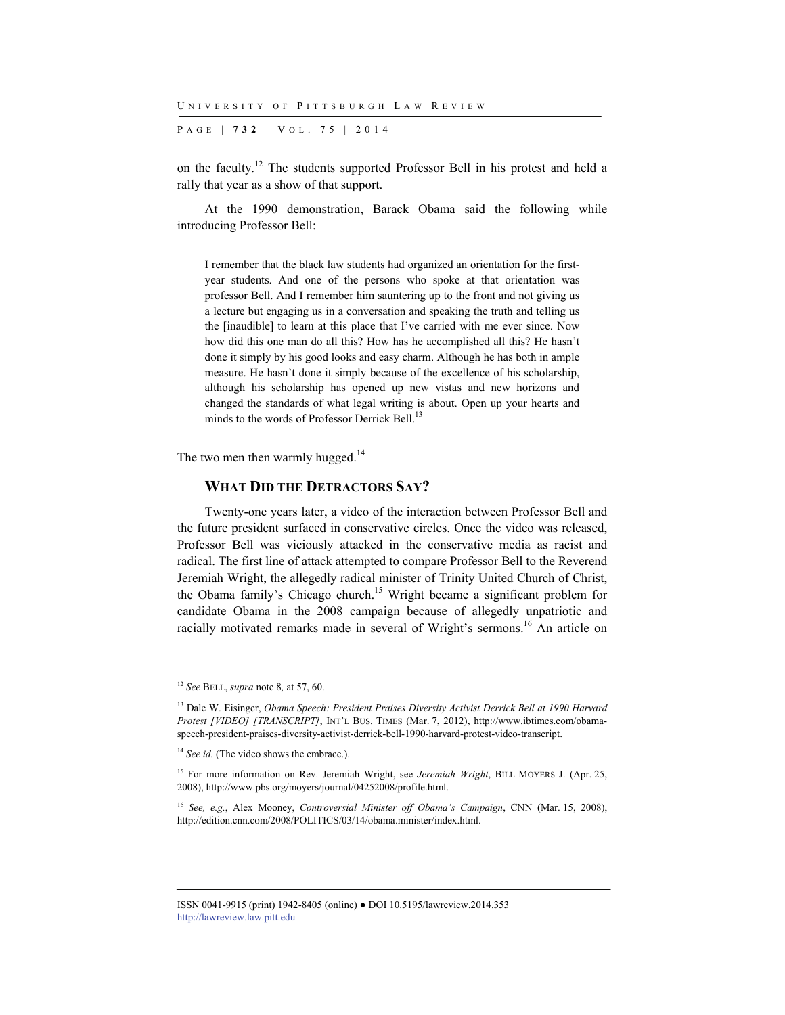P AGE | **732** | V O L . 7 5 | 2014

on the faculty.12 The students supported Professor Bell in his protest and held a rally that year as a show of that support.

At the 1990 demonstration, Barack Obama said the following while introducing Professor Bell:

I remember that the black law students had organized an orientation for the firstyear students. And one of the persons who spoke at that orientation was professor Bell. And I remember him sauntering up to the front and not giving us a lecture but engaging us in a conversation and speaking the truth and telling us the [inaudible] to learn at this place that I've carried with me ever since. Now how did this one man do all this? How has he accomplished all this? He hasn't done it simply by his good looks and easy charm. Although he has both in ample measure. He hasn't done it simply because of the excellence of his scholarship, although his scholarship has opened up new vistas and new horizons and changed the standards of what legal writing is about. Open up your hearts and minds to the words of Professor Derrick Bell.<sup>13</sup>

The two men then warmly hugged.<sup>14</sup>

#### **WHAT DID THE DETRACTORS SAY?**

Twenty-one years later, a video of the interaction between Professor Bell and the future president surfaced in conservative circles. Once the video was released, Professor Bell was viciously attacked in the conservative media as racist and radical. The first line of attack attempted to compare Professor Bell to the Reverend Jeremiah Wright, the allegedly radical minister of Trinity United Church of Christ, the Obama family's Chicago church.15 Wright became a significant problem for candidate Obama in the 2008 campaign because of allegedly unpatriotic and racially motivated remarks made in several of Wright's sermons.<sup>16</sup> An article on

<sup>12</sup> *See* BELL, *supra* note 8*,* at 57, 60.

<sup>13</sup> Dale W. Eisinger, *Obama Speech: President Praises Diversity Activist Derrick Bell at 1990 Harvard Protest [VIDEO] [TRANSCRIPT]*, INT'L BUS. TIMES (Mar. 7, 2012), http://www.ibtimes.com/obamaspeech-president-praises-diversity-activist-derrick-bell-1990-harvard-protest-video-transcript.

<sup>&</sup>lt;sup>14</sup> See id. (The video shows the embrace.).

<sup>&</sup>lt;sup>15</sup> For more information on Rev. Jeremiah Wright, see *Jeremiah Wright*, BILL MOYERS J. (Apr. 25, 2008), http://www.pbs.org/moyers/journal/04252008/profile.html.

<sup>16</sup> *See, e.g.*, Alex Mooney, *Controversial Minister off Obama's Campaign*, CNN (Mar. 15, 2008), http://edition.cnn.com/2008/POLITICS/03/14/obama.minister/index.html.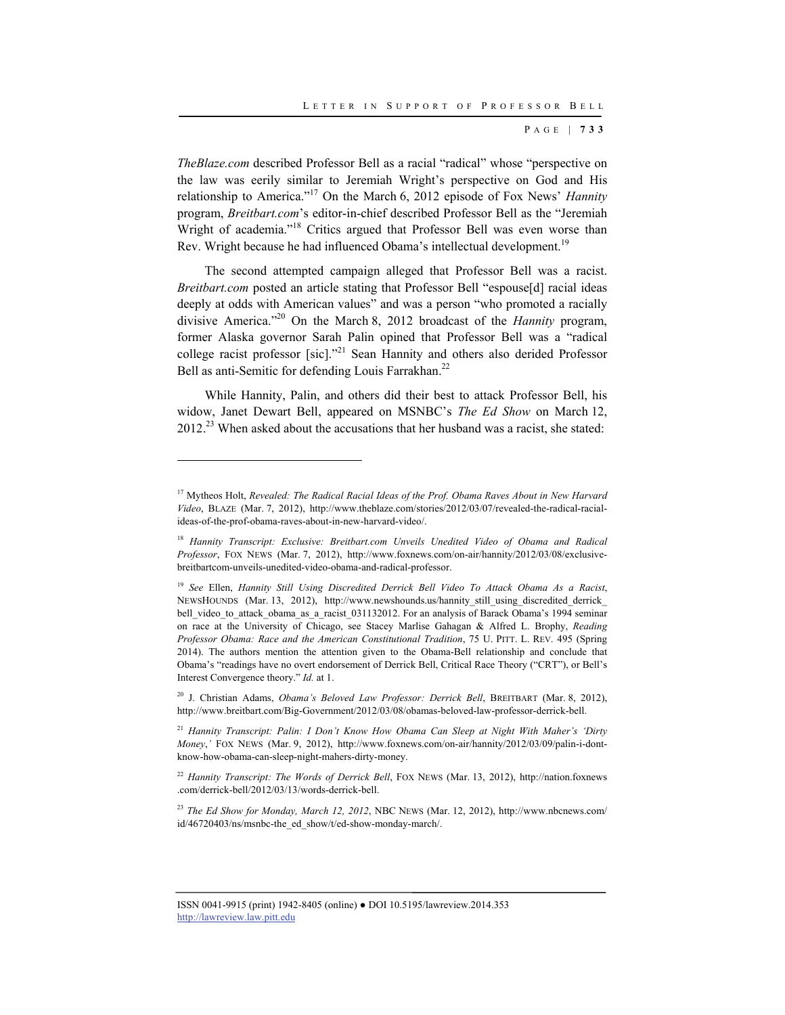*TheBlaze.com* described Professor Bell as a racial "radical" whose "perspective on the law was eerily similar to Jeremiah Wright's perspective on God and His relationship to America."17 On the March 6, 2012 episode of Fox News' *Hannity* program, *Breitbart.com*'s editor-in-chief described Professor Bell as the "Jeremiah Wright of academia."<sup>18</sup> Critics argued that Professor Bell was even worse than Rev. Wright because he had influenced Obama's intellectual development.<sup>19</sup>

The second attempted campaign alleged that Professor Bell was a racist. *Breitbart.com* posted an article stating that Professor Bell "espouse[d] racial ideas deeply at odds with American values" and was a person "who promoted a racially divisive America."20 On the March 8, 2012 broadcast of the *Hannity* program, former Alaska governor Sarah Palin opined that Professor Bell was a "radical college racist professor [sic]."21 Sean Hannity and others also derided Professor Bell as anti-Semitic for defending Louis Farrakhan.<sup>22</sup>

While Hannity, Palin, and others did their best to attack Professor Bell, his widow, Janet Dewart Bell, appeared on MSNBC's *The Ed Show* on March 12,  $2012<sup>23</sup>$  When asked about the accusations that her husband was a racist, she stated:

<sup>17</sup> Mytheos Holt, *Revealed: The Radical Racial Ideas of the Prof. Obama Raves About in New Harvard Video*, BLAZE (Mar. 7, 2012), http://www.theblaze.com/stories/2012/03/07/revealed-the-radical-racialideas-of-the-prof-obama-raves-about-in-new-harvard-video/.

<sup>&</sup>lt;sup>18</sup> Hannity Transcript: Exclusive: Breitbart.com Unveils Unedited Video of Obama and Radical *Professor*, FOX NEWS (Mar. 7, 2012), http://www.foxnews.com/on-air/hannity/2012/03/08/exclusivebreitbartcom-unveils-unedited-video-obama-and-radical-professor.

<sup>19</sup> *See* Ellen, *Hannity Still Using Discredited Derrick Bell Video To Attack Obama As a Racist*, NEWSHOUNDS (Mar. 13, 2012), http://www.newshounds.us/hannity\_still\_using\_discredited\_derrick\_ bell\_video\_to\_attack\_obama\_as\_a\_racist\_031132012. For an analysis of Barack Obama's 1994 seminar on race at the University of Chicago, see Stacey Marlise Gahagan & Alfred L. Brophy, *Reading Professor Obama: Race and the American Constitutional Tradition*, 75 U. PITT. L. REV. 495 (Spring 2014). The authors mention the attention given to the Obama-Bell relationship and conclude that Obama's "readings have no overt endorsement of Derrick Bell, Critical Race Theory ("CRT"), or Bell's Interest Convergence theory." *Id.* at 1.

<sup>20</sup> J. Christian Adams, *Obama's Beloved Law Professor: Derrick Bell*, BREITBART (Mar. 8, 2012), http://www.breitbart.com/Big-Government/2012/03/08/obamas-beloved-law-professor-derrick-bell.

<sup>21</sup> *Hannity Transcript: Palin: I Don't Know How Obama Can Sleep at Night With Maher's 'Dirty Money*,*'* FOX NEWS (Mar. 9, 2012), http://www.foxnews.com/on-air/hannity/2012/03/09/palin-i-dontknow-how-obama-can-sleep-night-mahers-dirty-money.

<sup>&</sup>lt;sup>22</sup> Hannity Transcript: The Words of Derrick Bell, FOX NEWS (Mar. 13, 2012), http://nation.foxnews .com/derrick-bell/2012/03/13/words-derrick-bell.

<sup>23</sup> *The Ed Show for Monday, March 12, 2012*, NBC NEWS (Mar. 12, 2012), http://www.nbcnews.com/ id/46720403/ns/msnbc-the\_ed\_show/t/ed-show-monday-march/.

ISSN 0041-9915 (print) 1942-8405 (online) ● DOI 10.5195/lawreview.2014.353 http://lawreview.law.pitt.edu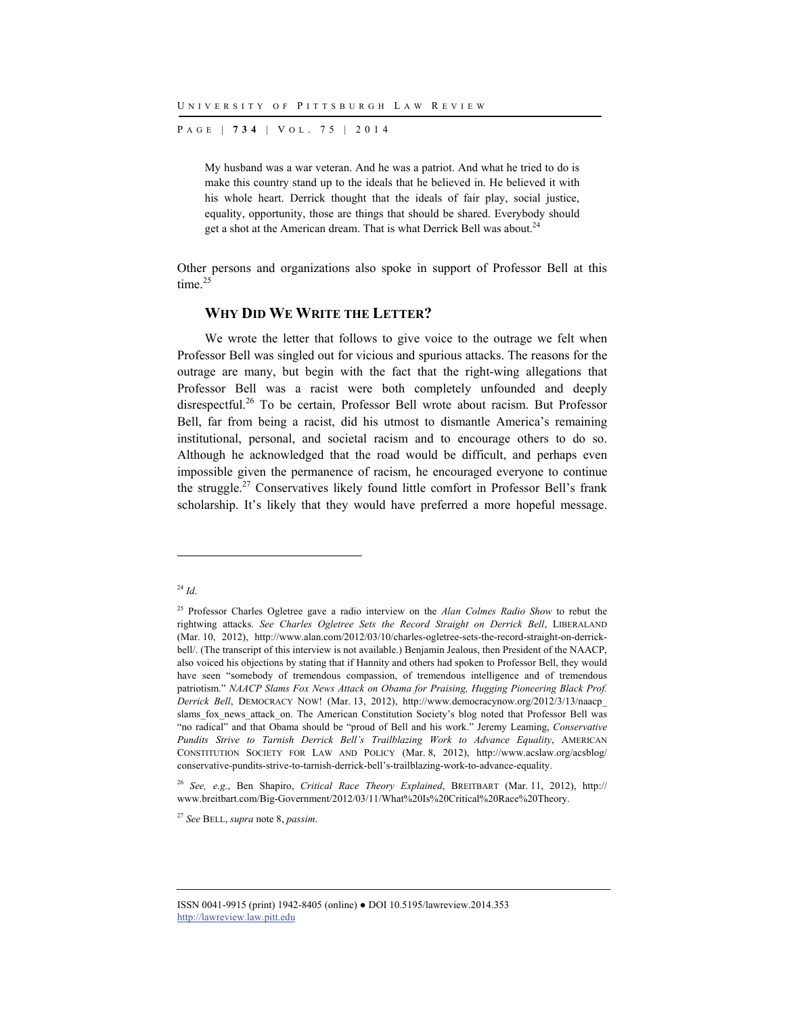P AGE | **734** | V O L . 7 5 | 2014

My husband was a war veteran. And he was a patriot. And what he tried to do is make this country stand up to the ideals that he believed in. He believed it with his whole heart. Derrick thought that the ideals of fair play, social justice, equality, opportunity, those are things that should be shared. Everybody should get a shot at the American dream. That is what Derrick Bell was about.<sup>24</sup>

Other persons and organizations also spoke in support of Professor Bell at this time.<sup>25</sup>

#### **WHY DID WE WRITE THE LETTER?**

We wrote the letter that follows to give voice to the outrage we felt when Professor Bell was singled out for vicious and spurious attacks. The reasons for the outrage are many, but begin with the fact that the right-wing allegations that Professor Bell was a racist were both completely unfounded and deeply disrespectful.<sup>26</sup> To be certain, Professor Bell wrote about racism. But Professor Bell, far from being a racist, did his utmost to dismantle America's remaining institutional, personal, and societal racism and to encourage others to do so. Although he acknowledged that the road would be difficult, and perhaps even impossible given the permanence of racism, he encouraged everyone to continue the struggle.27 Conservatives likely found little comfort in Professor Bell's frank scholarship. It's likely that they would have preferred a more hopeful message.

<sup>24</sup> *Id*.

<sup>&</sup>lt;sup>25</sup> Professor Charles Ogletree gave a radio interview on the *Alan Colmes Radio Show* to rebut the rightwing attacks. *See Charles Ogletree Sets the Record Straight on Derrick Bell*, LIBERALAND (Mar. 10, 2012), http://www.alan.com/2012/03/10/charles-ogletree-sets-the-record-straight-on-derrickbell/. (The transcript of this interview is not available.) Benjamin Jealous, then President of the NAACP, also voiced his objections by stating that if Hannity and others had spoken to Professor Bell, they would have seen "somebody of tremendous compassion, of tremendous intelligence and of tremendous patriotism." *NAACP Slams Fox News Attack on Obama for Praising, Hugging Pioneering Black Prof. Derrick Bell*, DEMOCRACY NOW! (Mar. 13, 2012), http://www.democracynow.org/2012/3/13/naacp\_ slams fox news attack on. The American Constitution Society's blog noted that Professor Bell was "no radical" and that Obama should be "proud of Bell and his work." Jeremy Leaming, *Conservative Pundits Strive to Tarnish Derrick Bell's Trailblazing Work to Advance Equality*, AMERICAN CONSTITUTION SOCIETY FOR LAW AND POLICY (Mar. 8, 2012), http://www.acslaw.org/acsblog/ conservative-pundits-strive-to-tarnish-derrick-bell's-trailblazing-work-to-advance-equality.

<sup>26</sup> *See, e.g.*, Ben Shapiro, *Critical Race Theory Explained*, BREITBART (Mar. 11, 2012), http:// www.breitbart.com/Big-Government/2012/03/11/What%20Is%20Critical%20Race%20Theory.

<sup>27</sup> *See* BELL, *supra* note 8, *passim*.

ISSN 0041-9915 (print) 1942-8405 (online) ● DOI 10.5195/lawreview.2014.353 http://lawreview.law.pitt.edu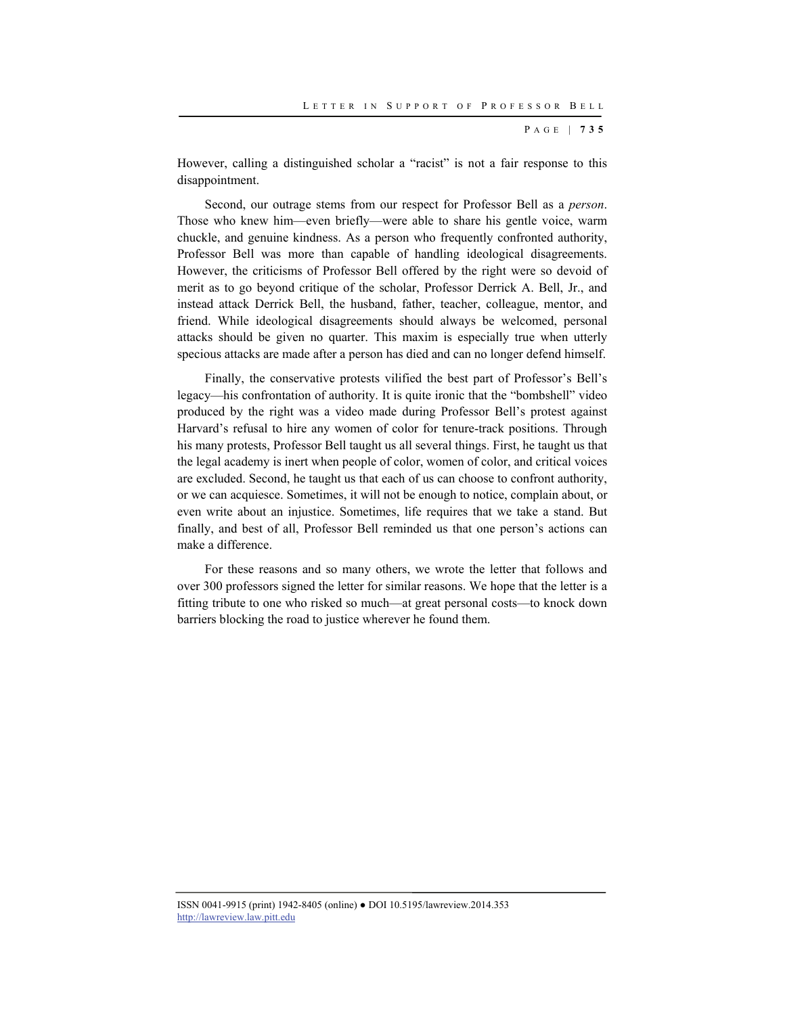However, calling a distinguished scholar a "racist" is not a fair response to this disappointment.

Second, our outrage stems from our respect for Professor Bell as a *person*. Those who knew him—even briefly—were able to share his gentle voice, warm chuckle, and genuine kindness. As a person who frequently confronted authority, Professor Bell was more than capable of handling ideological disagreements. However, the criticisms of Professor Bell offered by the right were so devoid of merit as to go beyond critique of the scholar, Professor Derrick A. Bell, Jr., and instead attack Derrick Bell, the husband, father, teacher, colleague, mentor, and friend. While ideological disagreements should always be welcomed, personal attacks should be given no quarter. This maxim is especially true when utterly specious attacks are made after a person has died and can no longer defend himself.

Finally, the conservative protests vilified the best part of Professor's Bell's legacy—his confrontation of authority. It is quite ironic that the "bombshell" video produced by the right was a video made during Professor Bell's protest against Harvard's refusal to hire any women of color for tenure-track positions. Through his many protests, Professor Bell taught us all several things. First, he taught us that the legal academy is inert when people of color, women of color, and critical voices are excluded. Second, he taught us that each of us can choose to confront authority, or we can acquiesce. Sometimes, it will not be enough to notice, complain about, or even write about an injustice. Sometimes, life requires that we take a stand. But finally, and best of all, Professor Bell reminded us that one person's actions can make a difference.

For these reasons and so many others, we wrote the letter that follows and over 300 professors signed the letter for similar reasons. We hope that the letter is a fitting tribute to one who risked so much—at great personal costs—to knock down barriers blocking the road to justice wherever he found them.

ISSN 0041-9915 (print) 1942-8405 (online) ● DOI 10.5195/lawreview.2014.353 http://lawreview.law.pitt.edu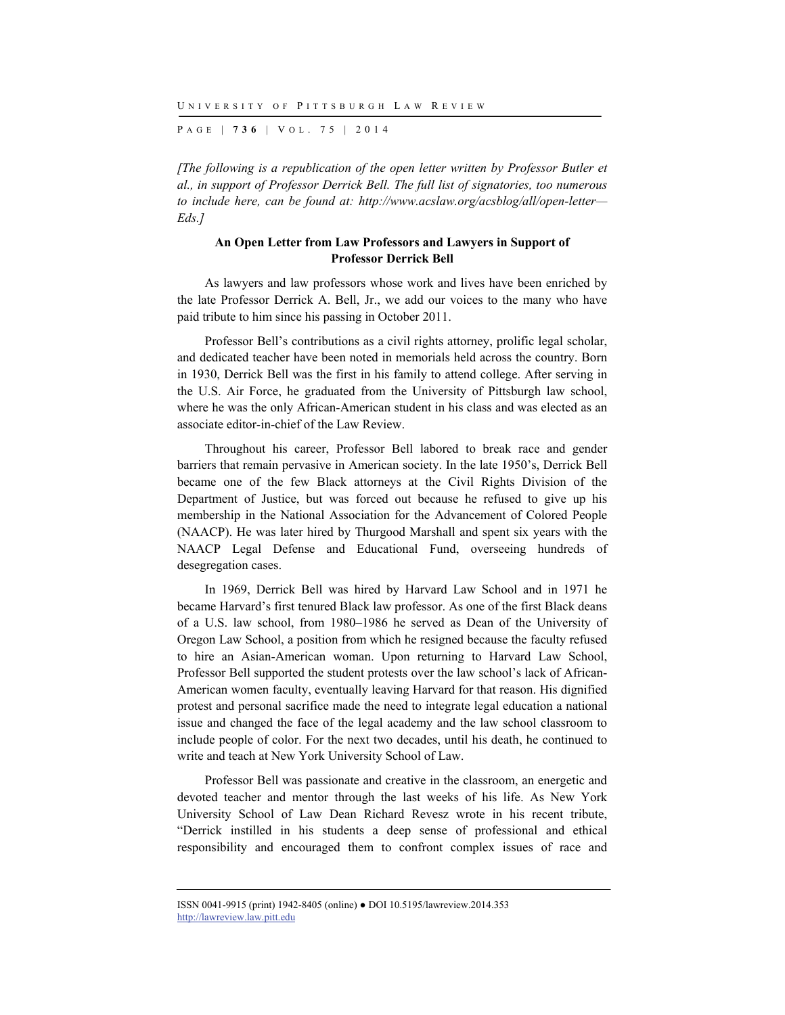P AGE | **736** | V O L . 7 5 | 2014

*[The following is a republication of the open letter written by Professor Butler et al., in support of Professor Derrick Bell. The full list of signatories, too numerous to include here, can be found at: http://www.acslaw.org/acsblog/all/open-letter— Eds.]* 

#### **An Open Letter from Law Professors and Lawyers in Support of Professor Derrick Bell**

As lawyers and law professors whose work and lives have been enriched by the late Professor Derrick A. Bell, Jr., we add our voices to the many who have paid tribute to him since his passing in October 2011.

Professor Bell's contributions as a civil rights attorney, prolific legal scholar, and dedicated teacher have been noted in memorials held across the country. Born in 1930, Derrick Bell was the first in his family to attend college. After serving in the U.S. Air Force, he graduated from the University of Pittsburgh law school, where he was the only African-American student in his class and was elected as an associate editor-in-chief of the Law Review.

Throughout his career, Professor Bell labored to break race and gender barriers that remain pervasive in American society. In the late 1950's, Derrick Bell became one of the few Black attorneys at the Civil Rights Division of the Department of Justice, but was forced out because he refused to give up his membership in the National Association for the Advancement of Colored People (NAACP). He was later hired by Thurgood Marshall and spent six years with the NAACP Legal Defense and Educational Fund, overseeing hundreds of desegregation cases.

In 1969, Derrick Bell was hired by Harvard Law School and in 1971 he became Harvard's first tenured Black law professor. As one of the first Black deans of a U.S. law school, from 1980–1986 he served as Dean of the University of Oregon Law School, a position from which he resigned because the faculty refused to hire an Asian-American woman. Upon returning to Harvard Law School, Professor Bell supported the student protests over the law school's lack of African-American women faculty, eventually leaving Harvard for that reason. His dignified protest and personal sacrifice made the need to integrate legal education a national issue and changed the face of the legal academy and the law school classroom to include people of color. For the next two decades, until his death, he continued to write and teach at New York University School of Law.

Professor Bell was passionate and creative in the classroom, an energetic and devoted teacher and mentor through the last weeks of his life. As New York University School of Law Dean Richard Revesz wrote in his recent tribute, "Derrick instilled in his students a deep sense of professional and ethical responsibility and encouraged them to confront complex issues of race and

ISSN 0041-9915 (print) 1942-8405 (online) ● DOI 10.5195/lawreview.2014.353 http://lawreview.law.pitt.edu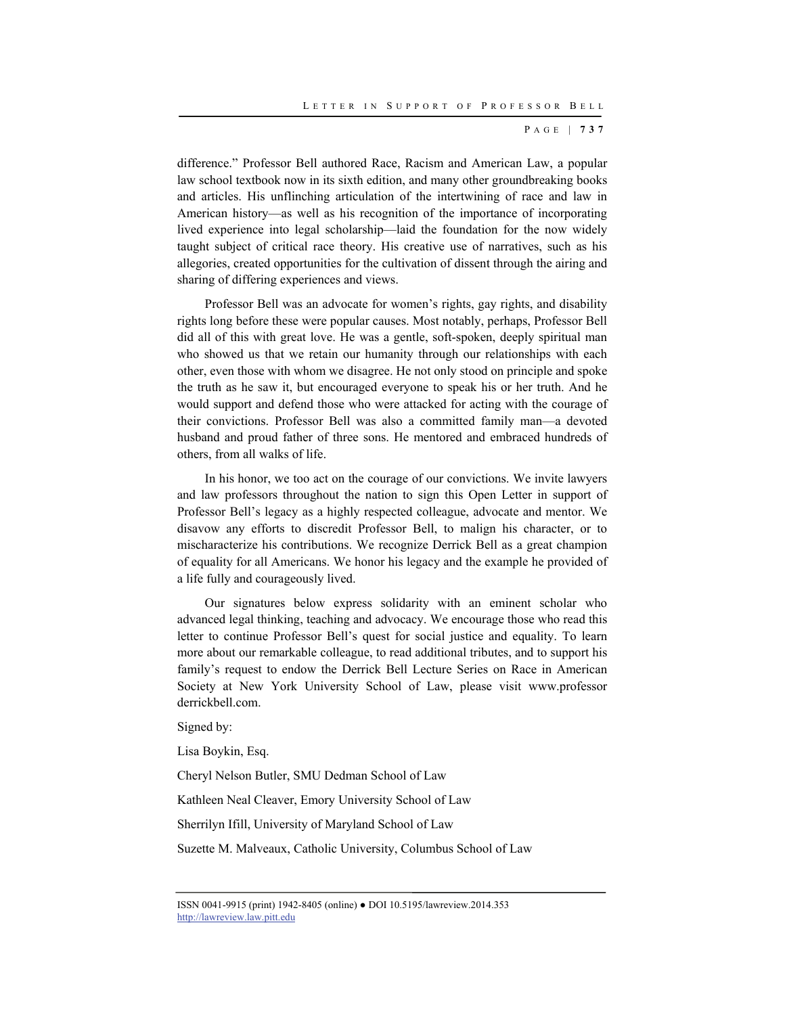difference." Professor Bell authored Race, Racism and American Law, a popular law school textbook now in its sixth edition, and many other groundbreaking books and articles. His unflinching articulation of the intertwining of race and law in American history—as well as his recognition of the importance of incorporating lived experience into legal scholarship—laid the foundation for the now widely taught subject of critical race theory. His creative use of narratives, such as his allegories, created opportunities for the cultivation of dissent through the airing and sharing of differing experiences and views.

Professor Bell was an advocate for women's rights, gay rights, and disability rights long before these were popular causes. Most notably, perhaps, Professor Bell did all of this with great love. He was a gentle, soft-spoken, deeply spiritual man who showed us that we retain our humanity through our relationships with each other, even those with whom we disagree. He not only stood on principle and spoke the truth as he saw it, but encouraged everyone to speak his or her truth. And he would support and defend those who were attacked for acting with the courage of their convictions. Professor Bell was also a committed family man—a devoted husband and proud father of three sons. He mentored and embraced hundreds of others, from all walks of life.

In his honor, we too act on the courage of our convictions. We invite lawyers and law professors throughout the nation to sign this Open Letter in support of Professor Bell's legacy as a highly respected colleague, advocate and mentor. We disavow any efforts to discredit Professor Bell, to malign his character, or to mischaracterize his contributions. We recognize Derrick Bell as a great champion of equality for all Americans. We honor his legacy and the example he provided of a life fully and courageously lived.

Our signatures below express solidarity with an eminent scholar who advanced legal thinking, teaching and advocacy. We encourage those who read this letter to continue Professor Bell's quest for social justice and equality. To learn more about our remarkable colleague, to read additional tributes, and to support his family's request to endow the Derrick Bell Lecture Series on Race in American Society at New York University School of Law, please visit www.professor derrickbell.com.

Signed by:

Lisa Boykin, Esq.

Cheryl Nelson Butler, SMU Dedman School of Law

Kathleen Neal Cleaver, Emory University School of Law

Sherrilyn Ifill, University of Maryland School of Law

Suzette M. Malveaux, Catholic University, Columbus School of Law

ISSN 0041-9915 (print) 1942-8405 (online) ● DOI 10.5195/lawreview.2014.353 http://lawreview.law.pitt.edu